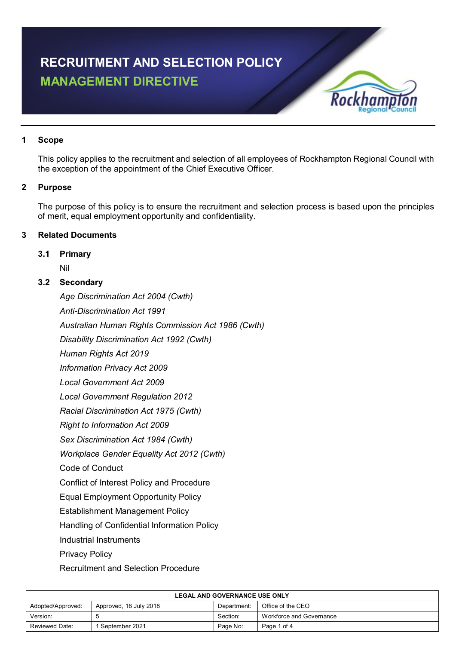# **RECRUITMENT AND SELECTION POLICY MANAGEMENT DIRECTIVE**



#### **1 Scope**

This policy applies to the recruitment and selection of all employees of Rockhampton Regional Council with the exception of the appointment of the Chief Executive Officer.

# **2 Purpose**

The purpose of this policy is to ensure the recruitment and selection process is based upon the principles of merit, equal employment opportunity and confidentiality.

# **3 Related Documents**

#### **3.1 Primary**

Nil

# **3.2 Secondary**

*Age Discrimination Act 2004 (Cwth)*

*Anti-Discrimination Act 1991*

*Australian Human Rights Commission Act 1986 (Cwth)*

*Disability Discrimination Act 1992 (Cwth)*

*Human Rights Act 2019*

*Information Privacy Act 2009*

*Local Government Act 2009*

*Local Government Regulation 2012*

*Racial Discrimination Act 1975 (Cwth)*

*Right to Information Act 2009*

*Sex Discrimination Act 1984 (Cwth)*

*Workplace Gender Equality Act 2012 (Cwth)*

Code of Conduct

Conflict of Interest Policy and Procedure

Equal Employment Opportunity Policy

Establishment Management Policy

Handling of Confidential Information Policy

Industrial Instruments

Privacy Policy

Recruitment and Selection Procedure

| <b>LEGAL AND GOVERNANCE USE ONLY</b> |                        |             |                          |  |  |
|--------------------------------------|------------------------|-------------|--------------------------|--|--|
| Adopted/Approved:                    | Approved, 16 July 2018 | Department: | Office of the CEO        |  |  |
| Version:                             |                        | Section:    | Workforce and Governance |  |  |
| Reviewed Date:                       | I September 2021       | Page No:    | Page 1 of 4              |  |  |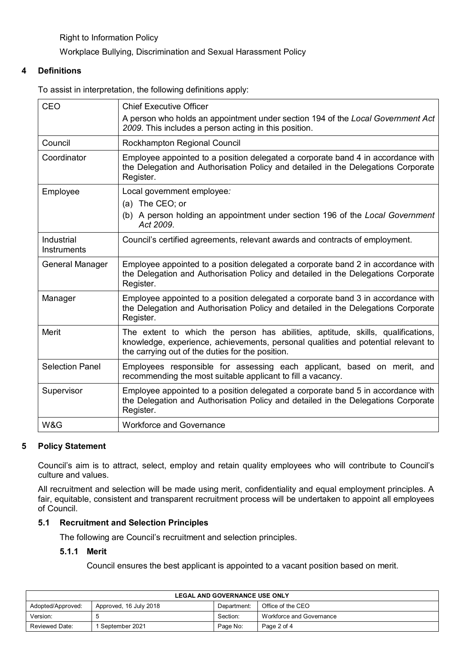Right to Information Policy

Workplace Bullying, Discrimination and Sexual Harassment Policy

#### **4 Definitions**

To assist in interpretation, the following definitions apply:

| CEO                       | <b>Chief Executive Officer</b>                                                                                                                                                                                           |  |
|---------------------------|--------------------------------------------------------------------------------------------------------------------------------------------------------------------------------------------------------------------------|--|
|                           | A person who holds an appointment under section 194 of the Local Government Act<br>2009. This includes a person acting in this position.                                                                                 |  |
| Council                   | Rockhampton Regional Council                                                                                                                                                                                             |  |
| Coordinator               | Employee appointed to a position delegated a corporate band 4 in accordance with<br>the Delegation and Authorisation Policy and detailed in the Delegations Corporate<br>Register.                                       |  |
| Employee                  | Local government employee:                                                                                                                                                                                               |  |
|                           | (a) The CEO; or                                                                                                                                                                                                          |  |
|                           | (b) A person holding an appointment under section 196 of the Local Government<br>Act 2009.                                                                                                                               |  |
| Industrial<br>Instruments | Council's certified agreements, relevant awards and contracts of employment.                                                                                                                                             |  |
| General Manager           | Employee appointed to a position delegated a corporate band 2 in accordance with<br>the Delegation and Authorisation Policy and detailed in the Delegations Corporate<br>Register.                                       |  |
| Manager                   | Employee appointed to a position delegated a corporate band 3 in accordance with<br>the Delegation and Authorisation Policy and detailed in the Delegations Corporate<br>Register.                                       |  |
| <b>Merit</b>              | The extent to which the person has abilities, aptitude, skills, qualifications,<br>knowledge, experience, achievements, personal qualities and potential relevant to<br>the carrying out of the duties for the position. |  |
| <b>Selection Panel</b>    | Employees responsible for assessing each applicant, based on merit, and<br>recommending the most suitable applicant to fill a vacancy.                                                                                   |  |
| Supervisor                | Employee appointed to a position delegated a corporate band 5 in accordance with<br>the Delegation and Authorisation Policy and detailed in the Delegations Corporate<br>Register.                                       |  |
| W&G                       | <b>Workforce and Governance</b>                                                                                                                                                                                          |  |

#### **5 Policy Statement**

Council's aim is to attract, select, employ and retain quality employees who will contribute to Council's culture and values.

All recruitment and selection will be made using merit, confidentiality and equal employment principles. A fair, equitable, consistent and transparent recruitment process will be undertaken to appoint all employees of Council.

#### **5.1 Recruitment and Selection Principles**

The following are Council's recruitment and selection principles.

# **5.1.1 Merit**

Council ensures the best applicant is appointed to a vacant position based on merit.

| <b>LEGAL AND GOVERNANCE USE ONLY</b> |                        |             |                          |  |
|--------------------------------------|------------------------|-------------|--------------------------|--|
| Adopted/Approved:                    | Approved, 16 July 2018 | Department: | Office of the CEO        |  |
| Version:                             |                        | Section:    | Workforce and Governance |  |
| Reviewed Date:                       | September 2021         | Page No:    | Page 2 of 4              |  |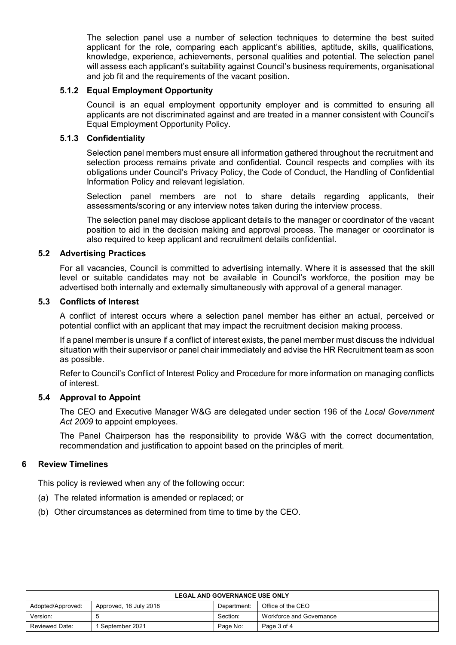The selection panel use a number of selection techniques to determine the best suited applicant for the role, comparing each applicant's abilities, aptitude, skills, qualifications, knowledge, experience, achievements, personal qualities and potential. The selection panel will assess each applicant's suitability against Council's business requirements, organisational and job fit and the requirements of the vacant position.

#### **5.1.2 Equal Employment Opportunity**

Council is an equal employment opportunity employer and is committed to ensuring all applicants are not discriminated against and are treated in a manner consistent with Council's Equal Employment Opportunity Policy.

#### **5.1.3 Confidentiality**

Selection panel members must ensure all information gathered throughout the recruitment and selection process remains private and confidential. Council respects and complies with its obligations under Council's Privacy Policy, the Code of Conduct, the Handling of Confidential Information Policy and relevant legislation.

Selection panel members are not to share details regarding applicants, their assessments/scoring or any interview notes taken during the interview process.

The selection panel may disclose applicant details to the manager or coordinator of the vacant position to aid in the decision making and approval process. The manager or coordinator is also required to keep applicant and recruitment details confidential.

#### **5.2 Advertising Practices**

For all vacancies, Council is committed to advertising internally. Where it is assessed that the skill level or suitable candidates may not be available in Council's workforce, the position may be advertised both internally and externally simultaneously with approval of a general manager.

#### **5.3 Conflicts of Interest**

A conflict of interest occurs where a selection panel member has either an actual, perceived or potential conflict with an applicant that may impact the recruitment decision making process.

If a panel member is unsure if a conflict of interest exists, the panel member must discuss the individual situation with their supervisor or panel chair immediately and advise the HR Recruitment team as soon as possible.

Refer to Council's Conflict of Interest Policy and Procedure for more information on managing conflicts of interest.

#### **5.4 Approval to Appoint**

The CEO and Executive Manager W&G are delegated under section 196 of the *Local Government Act 2009* to appoint employees.

The Panel Chairperson has the responsibility to provide W&G with the correct documentation, recommendation and justification to appoint based on the principles of merit.

#### **6 Review Timelines**

This policy is reviewed when any of the following occur:

- (a) The related information is amended or replaced; or
- (b) Other circumstances as determined from time to time by the CEO.

| <b>LEGAL AND GOVERNANCE USE ONLY</b> |                        |             |                          |  |
|--------------------------------------|------------------------|-------------|--------------------------|--|
| Adopted/Approved:                    | Approved, 16 July 2018 | Department: | Office of the CEO        |  |
| Version:                             |                        | Section:    | Workforce and Governance |  |
| Reviewed Date:                       | 1 September 2021       | Page No:    | Page 3 of 4              |  |